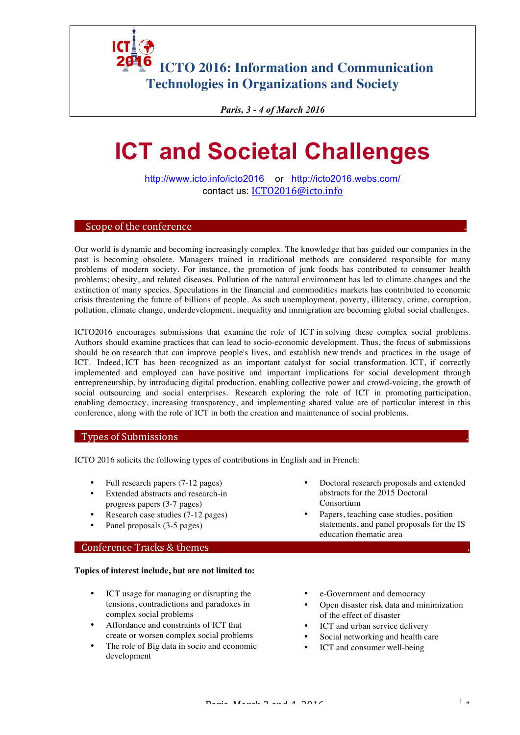**6** ICTO 2016: Information and Communication **Technologies in Organizations and Society**

*Paris, 3 - 4 of March 2016*

# **ICT and Societal Challenges**

http://www.icto.info/icto2016 or http://icto2016.webs.com/ contact us: ICTO2016@icto.info

### Scope of the conference

Our world is dynamic and becoming increasingly complex. The knowledge that has guided our companies in the past is becoming obsolete. Managers trained in traditional methods are considered responsible for many problems of modern society. For instance, the promotion of junk foods has contributed to consumer health problems; obesity, and related diseases. Pollution of the natural environment has led to climate changes and the extinction of many species. Speculations in the financial and commodities markets has contributed to economic crisis threatening the future of billions of people. As such unemployment, poverty, illiteracy, crime, corruption, pollution, climate change, underdevelopment, inequality and immigration are becoming global social challenges.

ICTO2016 encourages submissions that examine the role of ICT in solving these complex social problems. Authors should examine practices that can lead to socio-economic development. Thus, the focus of submissions should be on research that can improve people's lives, and establish new trends and practices in the usage of ICT. Indeed, ICT has been recognized as an important catalyst for social transformation. ICT, if correctly implemented and employed can have positive and important implications for social development through entrepreneurship, by introducing digital production, enabling collective power and crowd-voicing, the growth of social outsourcing and social enterprises. Research exploring the role of ICT in promoting participation, enabling democracy, increasing transparency, and implementing shared value are of particular interest in this conference, along with the role of ICT in both the creation and maintenance of social problems.

### Types of Submissions

ICTO 2016 solicits the following types of contributions in English and in French:

- Full research papers (7-12 pages)
- Extended abstracts and research-in progress papers (3-7 pages)
- Research case studies (7-12 pages)
- Panel proposals (3-5 pages)

#### Conference Tracks & themes

#### **Topics of interest include, but are not limited to:**

- ICT usage for managing or disrupting the tensions, contradictions and paradoxes in complex social problems
- Affordance and constraints of ICT that create or worsen complex social problems
- The role of Big data in socio and economic development
- Doctoral research proposals and extended abstracts for the 2015 Doctoral Consortium
- Papers, teaching case studies, position statements, and panel proposals for the IS education thematic area
- e-Government and democracy
- Open disaster risk data and minimization of the effect of disaster
- ICT and urban service delivery
- Social networking and health care
- ICT and consumer well-being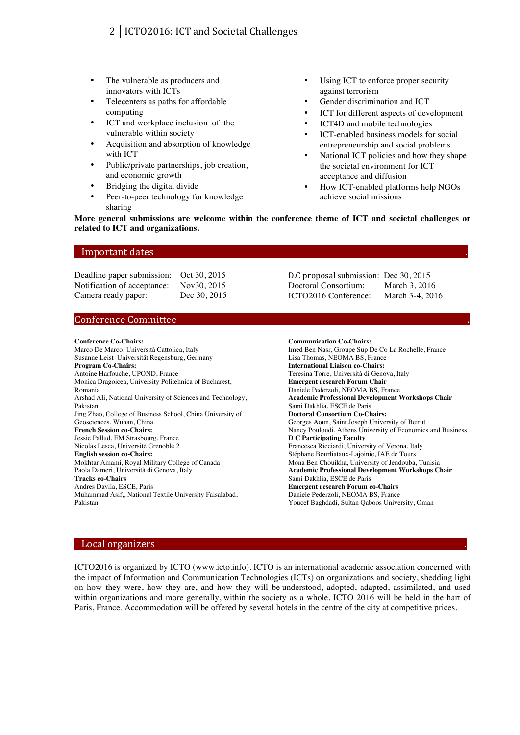## 2 | ICTO2016: ICT and Societal Challenges

- The vulnerable as producers and innovators with ICTs
- Telecenters as paths for affordable computing
- ICT and workplace inclusion of the vulnerable within society
- Acquisition and absorption of knowledge with ICT
- Public/private partnerships, job creation, and economic growth
- Bridging the digital divide
- Peer-to-peer technology for knowledge sharing
- Using ICT to enforce proper security against terrorism
- Gender discrimination and ICT
- ICT for different aspects of development
- ICT4D and mobile technologies
- ICT-enabled business models for social entrepreneurship and social problems
- National ICT policies and how they shape the societal environment for ICT acceptance and diffusion
- How ICT-enabled platforms help NGOs achieve social missions

**More general submissions are welcome within the conference theme of ICT and societal challenges or related to ICT and organizations.**

#### Important dates

Deadline paper submission: Oct 30, 2015 Notification of acceptance: Nov30, 2015 Camera ready paper: Dec 30, 2015

D.C proposal submission: Dec 30, 2015 Doctoral Consortium: March 3, 2016 ICTO2016 Conference: March 3-4, 2016

### Conference Committee

#### **Conference Co-Chairs:**

Marco De Marco, Università Cattolica, Italy Susanne Leist Universität Regensburg, Germany **Program Co-Chairs:**  Antoine Harfouche, UPOND, France Monica Dragoicea, University Politehnica of Bucharest, Romania Arshad Ali, National University of Sciences and Technology, Pakistan Jing Zhao, College of Business School, China University of Geosciences, Wuhan, China **French Session co-Chairs:**  Jessie Pallud, EM Strasbourg, France Nicolas Lesca, Université Grenoble 2 **English session co-Chairs:** Mokhtar Amami, Royal Military College of Canada Paola Dameri, Università di Genova, Italy **Tracks co-Chairs** Andres Davila, ESCE, Paris Muhammad Asif,, National Textile University Faisalabad, Pakistan

**Communication Co-Chairs:** Imed Ben Nasr, Groupe Sup De Co La Rochelle, France Lisa Thomas, NEOMA BS, France **International Liaison co-Chairs:** Teresina Torre, Università di Genova, Italy **Emergent research Forum Chair** Daniele Pederzoli, NEOMA BS, France **Academic Professional Development Workshops Chair** Sami Dakhlia, ESCE de Paris **Doctoral Consortium Co-Chairs:**  Georges Aoun, Saint Joseph University of Beirut Nancy Pouloudi, Athens University of Economics and Business **D C Participating Faculty** Francesca Ricciardi, University of Verona, Italy Stéphane Bourliataux-Lajoinie, IAE de Tours Mona Ben Chouikha, University of Jendouba, Tunisia **Academic Professional Development Workshops Chair** Sami Dakhlia, ESCE de Paris **Emergent research Forum co-Chairs** Daniele Pederzoli, NEOMA BS, France Youcef Baghdadi, Sultan Qaboos University, Oman

#### Local organizers

ICTO2016 is organized by ICTO (www.icto.info). ICTO is an international academic association concerned with the impact of Information and Communication Technologies (ICTs) on organizations and society, shedding light on how they were, how they are, and how they will be understood, adopted, adapted, assimilated, and used within organizations and more generally, within the society as a whole. ICTO 2016 will be held in the hart of Paris, France. Accommodation will be offered by several hotels in the centre of the city at competitive prices.